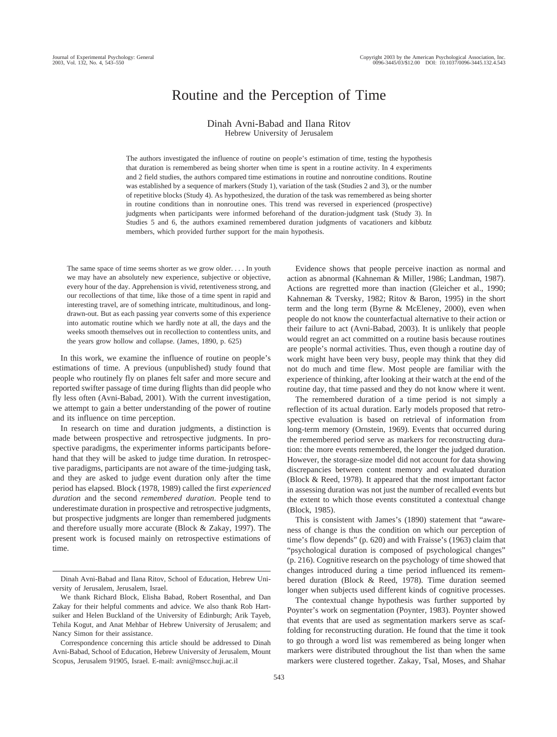# Routine and the Perception of Time

### Dinah Avni-Babad and Ilana Ritov Hebrew University of Jerusalem

The authors investigated the influence of routine on people's estimation of time, testing the hypothesis that duration is remembered as being shorter when time is spent in a routine activity. In 4 experiments and 2 field studies, the authors compared time estimations in routine and nonroutine conditions. Routine was established by a sequence of markers (Study 1), variation of the task (Studies 2 and 3), or the number of repetitive blocks (Study 4). As hypothesized, the duration of the task was remembered as being shorter in routine conditions than in nonroutine ones. This trend was reversed in experienced (prospective) judgments when participants were informed beforehand of the duration-judgment task (Study 3). In Studies 5 and 6, the authors examined remembered duration judgments of vacationers and kibbutz members, which provided further support for the main hypothesis.

The same space of time seems shorter as we grow older. . . . In youth we may have an absolutely new experience, subjective or objective, every hour of the day. Apprehension is vivid, retentiveness strong, and our recollections of that time, like those of a time spent in rapid and interesting travel, are of something intricate, multitudinous, and longdrawn-out. But as each passing year converts some of this experience into automatic routine which we hardly note at all, the days and the weeks smooth themselves out in recollection to contentless units, and the years grow hollow and collapse. (James, 1890, p. 625)

In this work, we examine the influence of routine on people's estimations of time. A previous (unpublished) study found that people who routinely fly on planes felt safer and more secure and reported swifter passage of time during flights than did people who fly less often (Avni-Babad, 2001). With the current investigation, we attempt to gain a better understanding of the power of routine and its influence on time perception.

In research on time and duration judgments, a distinction is made between prospective and retrospective judgments. In prospective paradigms, the experimenter informs participants beforehand that they will be asked to judge time duration. In retrospective paradigms, participants are not aware of the time-judging task, and they are asked to judge event duration only after the time period has elapsed. Block (1978, 1989) called the first *experienced duration* and the second *remembered duration*. People tend to underestimate duration in prospective and retrospective judgments, but prospective judgments are longer than remembered judgments and therefore usually more accurate (Block & Zakay, 1997). The present work is focused mainly on retrospective estimations of time.

Evidence shows that people perceive inaction as normal and action as abnormal (Kahneman & Miller, 1986; Landman, 1987). Actions are regretted more than inaction (Gleicher et al., 1990; Kahneman & Tversky, 1982; Ritov & Baron, 1995) in the short term and the long term (Byrne & McEleney, 2000), even when people do not know the counterfactual alternative to their action or their failure to act (Avni-Babad, 2003). It is unlikely that people would regret an act committed on a routine basis because routines are people's normal activities. Thus, even though a routine day of work might have been very busy, people may think that they did not do much and time flew. Most people are familiar with the experience of thinking, after looking at their watch at the end of the routine day, that time passed and they do not know where it went.

The remembered duration of a time period is not simply a reflection of its actual duration. Early models proposed that retrospective evaluation is based on retrieval of information from long-term memory (Ornstein, 1969). Events that occurred during the remembered period serve as markers for reconstructing duration: the more events remembered, the longer the judged duration. However, the storage-size model did not account for data showing discrepancies between content memory and evaluated duration (Block & Reed, 1978). It appeared that the most important factor in assessing duration was not just the number of recalled events but the extent to which those events constituted a contextual change (Block, 1985).

This is consistent with James's (1890) statement that "awareness of change is thus the condition on which our perception of time's flow depends" (p. 620) and with Fraisse's (1963) claim that "psychological duration is composed of psychological changes" (p. 216). Cognitive research on the psychology of time showed that changes introduced during a time period influenced its remembered duration (Block & Reed, 1978). Time duration seemed longer when subjects used different kinds of cognitive processes.

The contextual change hypothesis was further supported by Poynter's work on segmentation (Poynter, 1983). Poynter showed that events that are used as segmentation markers serve as scaffolding for reconstructing duration. He found that the time it took to go through a word list was remembered as being longer when markers were distributed throughout the list than when the same markers were clustered together. Zakay, Tsal, Moses, and Shahar

Dinah Avni-Babad and Ilana Ritov, School of Education, Hebrew University of Jerusalem, Jerusalem, Israel.

We thank Richard Block, Elisha Babad, Robert Rosenthal, and Dan Zakay for their helpful comments and advice. We also thank Rob Hartsuiker and Helen Buckland of the University of Edinburgh; Arik Tayeb, Tehila Kogut, and Anat Mehbar of Hebrew University of Jerusalem; and Nancy Simon for their assistance.

Correspondence concerning this article should be addressed to Dinah Avni-Babad, School of Education, Hebrew University of Jerusalem, Mount Scopus, Jerusalem 91905, Israel. E-mail: avni@mscc.huji.ac.il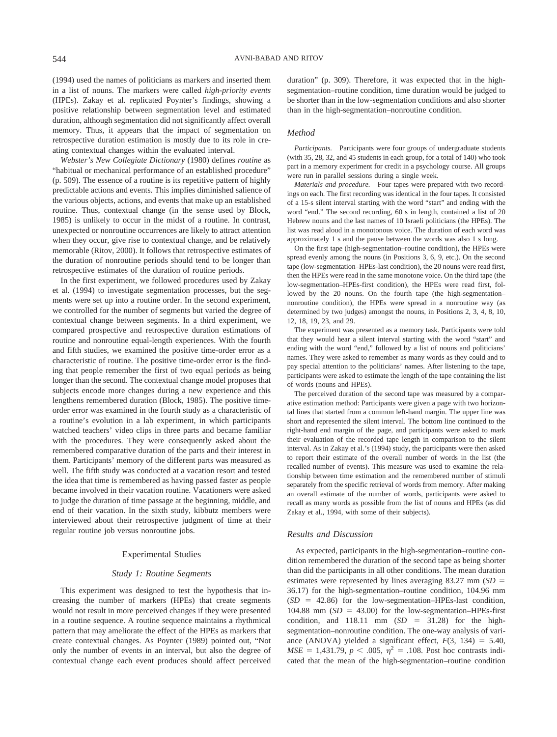(1994) used the names of politicians as markers and inserted them in a list of nouns. The markers were called *high-priority events* (HPEs). Zakay et al. replicated Poynter's findings, showing a positive relationship between segmentation level and estimated duration, although segmentation did not significantly affect overall memory. Thus, it appears that the impact of segmentation on retrospective duration estimation is mostly due to its role in creating contextual changes within the evaluated interval.

*Webster's New Collegiate Dictionary* (1980) defines *routine* as "habitual or mechanical performance of an established procedure" (p. 509). The essence of a routine is its repetitive pattern of highly predictable actions and events. This implies diminished salience of the various objects, actions, and events that make up an established routine. Thus, contextual change (in the sense used by Block, 1985) is unlikely to occur in the midst of a routine. In contrast, unexpected or nonroutine occurrences are likely to attract attention when they occur, give rise to contextual change, and be relatively memorable (Ritov, 2000). It follows that retrospective estimates of the duration of nonroutine periods should tend to be longer than retrospective estimates of the duration of routine periods.

In the first experiment, we followed procedures used by Zakay et al. (1994) to investigate segmentation processes, but the segments were set up into a routine order. In the second experiment, we controlled for the number of segments but varied the degree of contextual change between segments. In a third experiment, we compared prospective and retrospective duration estimations of routine and nonroutine equal-length experiences. With the fourth and fifth studies, we examined the positive time-order error as a characteristic of routine. The positive time-order error is the finding that people remember the first of two equal periods as being longer than the second. The contextual change model proposes that subjects encode more changes during a new experience and this lengthens remembered duration (Block, 1985). The positive timeorder error was examined in the fourth study as a characteristic of a routine's evolution in a lab experiment, in which participants watched teachers' video clips in three parts and became familiar with the procedures. They were consequently asked about the remembered comparative duration of the parts and their interest in them. Participants' memory of the different parts was measured as well. The fifth study was conducted at a vacation resort and tested the idea that time is remembered as having passed faster as people became involved in their vacation routine. Vacationers were asked to judge the duration of time passage at the beginning, middle, and end of their vacation. In the sixth study, kibbutz members were interviewed about their retrospective judgment of time at their regular routine job versus nonroutine jobs.

#### Experimental Studies

#### *Study 1: Routine Segments*

This experiment was designed to test the hypothesis that increasing the number of markers (HPEs) that create segments would not result in more perceived changes if they were presented in a routine sequence. A routine sequence maintains a rhythmical pattern that may ameliorate the effect of the HPEs as markers that create contextual changes. As Poynter (1989) pointed out, "Not only the number of events in an interval, but also the degree of contextual change each event produces should affect perceived duration" (p. 309). Therefore, it was expected that in the highsegmentation–routine condition, time duration would be judged to be shorter than in the low-segmentation conditions and also shorter than in the high-segmentation–nonroutine condition.

#### *Method*

*Participants.* Participants were four groups of undergraduate students (with 35, 28, 32, and 45 students in each group, for a total of 140) who took part in a memory experiment for credit in a psychology course. All groups were run in parallel sessions during a single week.

*Materials and procedure.* Four tapes were prepared with two recordings on each. The first recording was identical in the four tapes. It consisted of a 15-s silent interval starting with the word "start" and ending with the word "end." The second recording, 60 s in length, contained a list of 20 Hebrew nouns and the last names of 10 Israeli politicians (the HPEs). The list was read aloud in a monotonous voice. The duration of each word was approximately 1 s and the pause between the words was also 1 s long.

On the first tape (high-segmentation–routine condition), the HPEs were spread evenly among the nouns (in Positions 3, 6, 9, etc.). On the second tape (low-segmentation–HPEs-last condition), the 20 nouns were read first, then the HPEs were read in the same monotone voice. On the third tape (the low-segmentation–HPEs-first condition), the HPEs were read first, followed by the 20 nouns. On the fourth tape (the high-segmentation– nonroutine condition), the HPEs were spread in a nonroutine way (as determined by two judges) amongst the nouns, in Positions 2, 3, 4, 8, 10, 12, 18, 19, 23, and 29.

The experiment was presented as a memory task. Participants were told that they would hear a silent interval starting with the word "start" and ending with the word "end," followed by a list of nouns and politicians' names. They were asked to remember as many words as they could and to pay special attention to the politicians' names. After listening to the tape, participants were asked to estimate the length of the tape containing the list of words (nouns and HPEs).

The perceived duration of the second tape was measured by a comparative estimation method: Participants were given a page with two horizontal lines that started from a common left-hand margin. The upper line was short and represented the silent interval. The bottom line continued to the right-hand end margin of the page, and participants were asked to mark their evaluation of the recorded tape length in comparison to the silent interval. As in Zakay et al.'s (1994) study, the participants were then asked to report their estimate of the overall number of words in the list (the recalled number of events). This measure was used to examine the relationship between time estimation and the remembered number of stimuli separately from the specific retrieval of words from memory. After making an overall estimate of the number of words, participants were asked to recall as many words as possible from the list of nouns and HPEs (as did Zakay et al., 1994, with some of their subjects).

### *Results and Discussion*

As expected, participants in the high-segmentation–routine condition remembered the duration of the second tape as being shorter than did the participants in all other conditions. The mean duration estimates were represented by lines averaging 83.27 mm (*SD* 36.17) for the high-segmentation–routine condition, 104.96 mm  $(SD = 42.86)$  for the low-segmentation–HPEs-last condition, 104.88 mm  $(SD = 43.00)$  for the low-segmentation–HPEs-first condition, and  $118.11$  mm  $(SD = 31.28)$  for the highsegmentation–nonroutine condition. The one-way analysis of variance (ANOVA) yielded a significant effect,  $F(3, 134) = 5.40$ ,  $MSE = 1,431.79, p < .005, \eta^2 = .108$ . Post hoc contrasts indicated that the mean of the high-segmentation–routine condition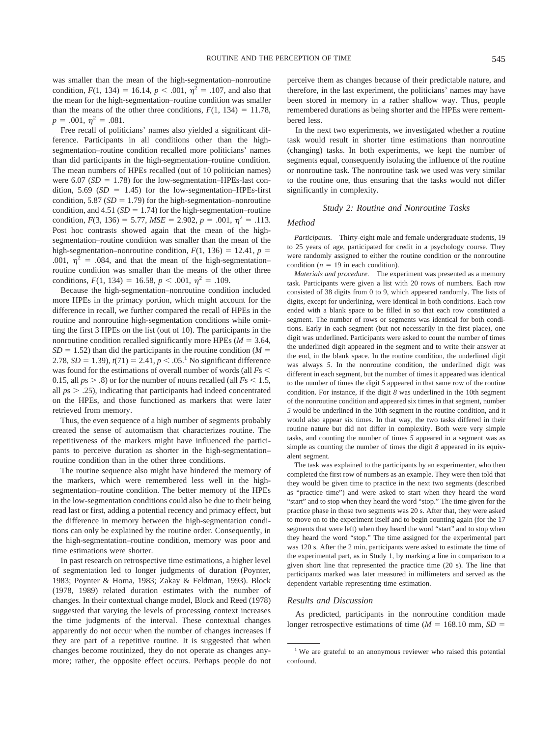was smaller than the mean of the high-segmentation–nonroutine condition,  $F(1, 134) = 16.14$ ,  $p < .001$ ,  $p^2 = .107$ , and also that the mean for the high-segmentation–routine condition was smaller than the means of the other three conditions,  $F(1, 134) = 11.78$ ,  $p = .001, \eta^2 = .081.$ 

Free recall of politicians' names also yielded a significant difference. Participants in all conditions other than the highsegmentation–routine condition recalled more politicians' names than did participants in the high-segmentation–routine condition. The mean numbers of HPEs recalled (out of 10 politician names) were  $6.07$  (*SD* = 1.78) for the low-segmentation–HPEs-last condition,  $5.69$  ( $SD = 1.45$ ) for the low-segmentation–HPEs-first condition,  $5.87$  ( $SD = 1.79$ ) for the high-segmentation–nonroutine condition, and  $4.51$  ( $SD = 1.74$ ) for the high-segmentation–routine condition,  $F(3, 136) = 5.77$ ,  $MSE = 2.902$ ,  $p = .001$ ,  $\eta^2 = .113$ . Post hoc contrasts showed again that the mean of the highsegmentation–routine condition was smaller than the mean of the high-segmentation–nonroutine condition,  $F(1, 136) = 12.41$ ,  $p =$ .001,  $\eta^2$  = .084, and that the mean of the high-segmentation– routine condition was smaller than the means of the other three conditions,  $F(1, 134) = 16.58$ ,  $p < .001$ ,  $\eta^2 = .109$ .

Because the high-segmentation–nonroutine condition included more HPEs in the primacy portion, which might account for the difference in recall, we further compared the recall of HPEs in the routine and nonroutine high-segmentation conditions while omitting the first 3 HPEs on the list (out of 10). The participants in the nonroutine condition recalled significantly more HPEs ( $M = 3.64$ ,  $SD = 1.52$ ) than did the participants in the routine condition ( $M =$ 2.78, *SD* = 1.39),  $t(71) = 2.41, p < .05$ .<sup>1</sup> No significant difference was found for the estimations of overall number of words (all  $Fs <$ 0.15, all  $ps > .8$ ) or for the number of nouns recalled (all  $Fs < 1.5$ , all  $ps > .25$ ), indicating that participants had indeed concentrated on the HPEs, and those functioned as markers that were later retrieved from memory.

Thus, the even sequence of a high number of segments probably created the sense of automatism that characterizes routine. The repetitiveness of the markers might have influenced the participants to perceive duration as shorter in the high-segmentation– routine condition than in the other three conditions.

The routine sequence also might have hindered the memory of the markers, which were remembered less well in the highsegmentation–routine condition. The better memory of the HPEs in the low-segmentation conditions could also be due to their being read last or first, adding a potential recency and primacy effect, but the difference in memory between the high-segmentation conditions can only be explained by the routine order. Consequently, in the high-segmentation–routine condition, memory was poor and time estimations were shorter.

In past research on retrospective time estimations, a higher level of segmentation led to longer judgments of duration (Poynter, 1983; Poynter & Homa, 1983; Zakay & Feldman, 1993). Block (1978, 1989) related duration estimates with the number of changes. In their contextual change model, Block and Reed (1978) suggested that varying the levels of processing context increases the time judgments of the interval. These contextual changes apparently do not occur when the number of changes increases if they are part of a repetitive routine. It is suggested that when changes become routinized, they do not operate as changes anymore; rather, the opposite effect occurs. Perhaps people do not perceive them as changes because of their predictable nature, and therefore, in the last experiment, the politicians' names may have been stored in memory in a rather shallow way. Thus, people remembered durations as being shorter and the HPEs were remembered less.

In the next two experiments, we investigated whether a routine task would result in shorter time estimations than nonroutine (changing) tasks. In both experiments, we kept the number of segments equal, consequently isolating the influence of the routine or nonroutine task. The nonroutine task we used was very similar to the routine one, thus ensuring that the tasks would not differ significantly in complexity.

#### *Study 2: Routine and Nonroutine Tasks*

#### *Method*

*Participants.* Thirty-eight male and female undergraduate students, 19 to 25 years of age, participated for credit in a psychology course. They were randomly assigned to either the routine condition or the nonroutine condition ( $n = 19$  in each condition).

*Materials and procedure.* The experiment was presented as a memory task. Participants were given a list with 20 rows of numbers. Each row consisted of 38 digits from 0 to 9, which appeared randomly. The lists of digits, except for underlining, were identical in both conditions. Each row ended with a blank space to be filled in so that each row constituted a segment. The number of rows or segments was identical for both conditions. Early in each segment (but not necessarily in the first place), one digit was underlined. Participants were asked to count the number of times the underlined digit appeared in the segment and to write their answer at the end, in the blank space. In the routine condition, the underlined digit was always *5*. In the nonroutine condition, the underlined digit was different in each segment, but the number of times it appeared was identical to the number of times the digit *5* appeared in that same row of the routine condition. For instance, if the digit *8* was underlined in the 10th segment of the nonroutine condition and appeared six times in that segment, number *5* would be underlined in the 10th segment in the routine condition, and it would also appear six times. In that way, the two tasks differed in their routine nature but did not differ in complexity. Both were very simple tasks, and counting the number of times *5* appeared in a segment was as simple as counting the number of times the digit *8* appeared in its equivalent segment.

The task was explained to the participants by an experimenter, who then completed the first row of numbers as an example. They were then told that they would be given time to practice in the next two segments (described as "practice time") and were asked to start when they heard the word "start" and to stop when they heard the word "stop." The time given for the practice phase in those two segments was 20 s. After that, they were asked to move on to the experiment itself and to begin counting again (for the 17 segments that were left) when they heard the word "start" and to stop when they heard the word "stop." The time assigned for the experimental part was 120 s. After the 2 min, participants were asked to estimate the time of the experimental part, as in Study 1, by marking a line in comparison to a given short line that represented the practice time (20 s). The line that participants marked was later measured in millimeters and served as the dependent variable representing time estimation.

#### *Results and Discussion*

As predicted, participants in the nonroutine condition made longer retrospective estimations of time ( $M = 168.10$  mm,  $SD =$ 

<sup>&</sup>lt;sup>1</sup> We are grateful to an anonymous reviewer who raised this potential confound.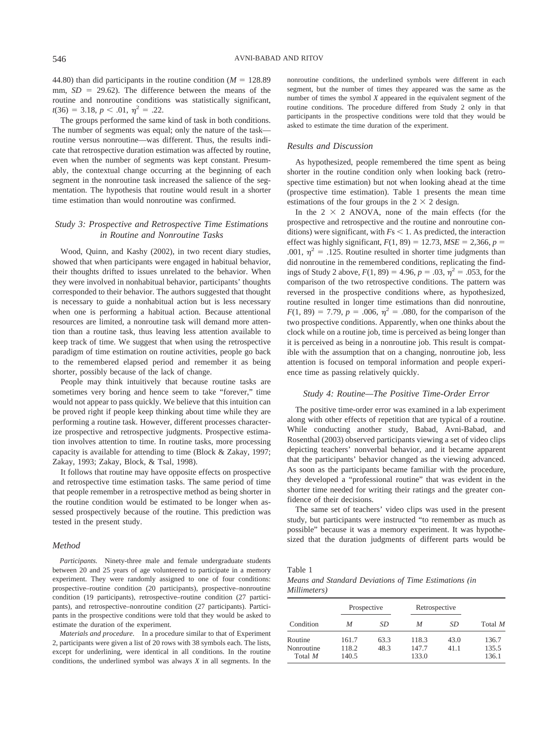44.80) than did participants in the routine condition  $(M = 128.89)$ mm,  $SD = 29.62$ . The difference between the means of the routine and nonroutine conditions was statistically significant,  $t(36) = 3.18, p < .01, \eta^2 = .22.$ 

The groups performed the same kind of task in both conditions. The number of segments was equal; only the nature of the task routine versus nonroutine—was different. Thus, the results indicate that retrospective duration estimation was affected by routine, even when the number of segments was kept constant. Presumably, the contextual change occurring at the beginning of each segment in the nonroutine task increased the salience of the segmentation. The hypothesis that routine would result in a shorter time estimation than would nonroutine was confirmed.

# *Study 3: Prospective and Retrospective Time Estimations in Routine and Nonroutine Tasks*

Wood, Quinn, and Kashy (2002), in two recent diary studies, showed that when participants were engaged in habitual behavior, their thoughts drifted to issues unrelated to the behavior. When they were involved in nonhabitual behavior, participants' thoughts corresponded to their behavior. The authors suggested that thought is necessary to guide a nonhabitual action but is less necessary when one is performing a habitual action. Because attentional resources are limited, a nonroutine task will demand more attention than a routine task, thus leaving less attention available to keep track of time. We suggest that when using the retrospective paradigm of time estimation on routine activities, people go back to the remembered elapsed period and remember it as being shorter, possibly because of the lack of change.

People may think intuitively that because routine tasks are sometimes very boring and hence seem to take "forever," time would not appear to pass quickly. We believe that this intuition can be proved right if people keep thinking about time while they are performing a routine task. However, different processes characterize prospective and retrospective judgments. Prospective estimation involves attention to time. In routine tasks, more processing capacity is available for attending to time (Block & Zakay, 1997; Zakay, 1993; Zakay, Block, & Tsal, 1998).

It follows that routine may have opposite effects on prospective and retrospective time estimation tasks. The same period of time that people remember in a retrospective method as being shorter in the routine condition would be estimated to be longer when assessed prospectively because of the routine. This prediction was tested in the present study.

#### *Method*

*Participants.* Ninety-three male and female undergraduate students between 20 and 25 years of age volunteered to participate in a memory experiment. They were randomly assigned to one of four conditions: prospective–routine condition (20 participants), prospective–nonroutine condition (19 participants), retrospective–routine condition (27 participants), and retrospective–nonroutine condition (27 participants). Participants in the prospective conditions were told that they would be asked to estimate the duration of the experiment.

*Materials and procedure.* In a procedure similar to that of Experiment 2, participants were given a list of 20 rows with 38 symbols each. The lists, except for underlining, were identical in all conditions. In the routine conditions, the underlined symbol was always *X* in all segments. In the

nonroutine conditions, the underlined symbols were different in each segment, but the number of times they appeared was the same as the number of times the symbol *X* appeared in the equivalent segment of the routine conditions. The procedure differed from Study 2 only in that participants in the prospective conditions were told that they would be asked to estimate the time duration of the experiment.

#### *Results and Discussion*

As hypothesized, people remembered the time spent as being shorter in the routine condition only when looking back (retrospective time estimation) but not when looking ahead at the time (prospective time estimation). Table 1 presents the mean time estimations of the four groups in the  $2 \times 2$  design.

In the  $2 \times 2$  ANOVA, none of the main effects (for the prospective and retrospective and the routine and nonroutine conditions) were significant, with  $Fs < 1$ . As predicted, the interaction effect was highly significant,  $F(1, 89) = 12.73$ ,  $MSE = 2,366$ ,  $p =$ .001,  $\eta^2$  = .125. Routine resulted in shorter time judgments than did nonroutine in the remembered conditions, replicating the findings of Study 2 above,  $F(1, 89) = 4.96$ ,  $p = .03$ ,  $\eta^2 = .053$ , for the comparison of the two retrospective conditions. The pattern was reversed in the prospective conditions where, as hypothesized, routine resulted in longer time estimations than did nonroutine,  $F(1, 89) = 7.79$ ,  $p = .006$ ,  $\eta^2 = .080$ , for the comparison of the two prospective conditions. Apparently, when one thinks about the clock while on a routine job, time is perceived as being longer than it is perceived as being in a nonroutine job. This result is compatible with the assumption that on a changing, nonroutine job, less attention is focused on temporal information and people experience time as passing relatively quickly.

#### *Study 4: Routine—The Positive Time-Order Error*

The positive time-order error was examined in a lab experiment along with other effects of repetition that are typical of a routine. While conducting another study, Babad, Avni-Babad, and Rosenthal (2003) observed participants viewing a set of video clips depicting teachers' nonverbal behavior, and it became apparent that the participants' behavior changed as the viewing advanced. As soon as the participants became familiar with the procedure, they developed a "professional routine" that was evident in the shorter time needed for writing their ratings and the greater confidence of their decisions.

The same set of teachers' video clips was used in the present study, but participants were instructed "to remember as much as possible" because it was a memory experiment. It was hypothesized that the duration judgments of different parts would be

Table 1

*Means and Standard Deviations of Time Estimations (in Millimeters)*

| Condition               | Prospective    |      | Retrospective  |      |                |
|-------------------------|----------------|------|----------------|------|----------------|
|                         | М              | SD   | M              | SD   | Total $M$      |
| Routine                 | 161.7          | 63.3 | 118.3          | 43.0 | 136.7          |
| Nonroutine<br>Total $M$ | 118.2<br>140.5 | 48.3 | 147.7<br>133.0 | 41.1 | 135.5<br>136.1 |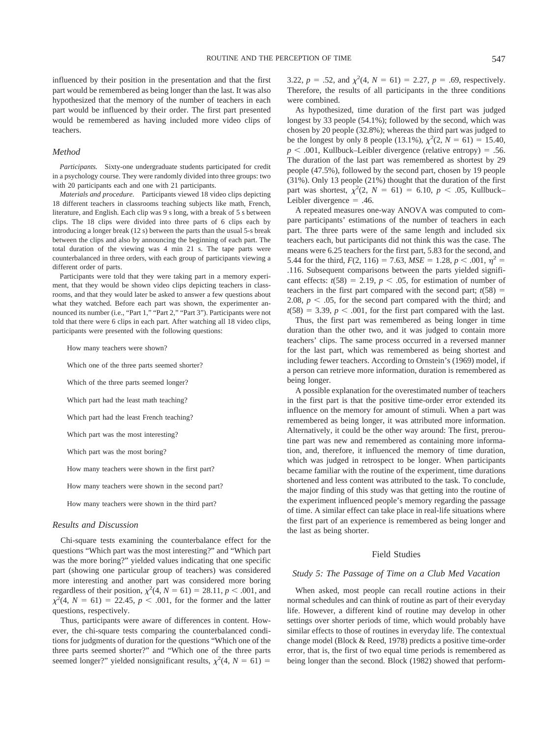influenced by their position in the presentation and that the first part would be remembered as being longer than the last. It was also hypothesized that the memory of the number of teachers in each part would be influenced by their order. The first part presented would be remembered as having included more video clips of teachers.

#### *Method*

*Participants.* Sixty-one undergraduate students participated for credit in a psychology course. They were randomly divided into three groups: two with 20 participants each and one with 21 participants.

*Materials and procedure.* Participants viewed 18 video clips depicting 18 different teachers in classrooms teaching subjects like math, French, literature, and English. Each clip was 9 s long, with a break of 5 s between clips. The 18 clips were divided into three parts of 6 clips each by introducing a longer break (12 s) between the parts than the usual 5-s break between the clips and also by announcing the beginning of each part. The total duration of the viewing was 4 min 21 s. The tape parts were counterbalanced in three orders, with each group of participants viewing a different order of parts.

Participants were told that they were taking part in a memory experiment, that they would be shown video clips depicting teachers in classrooms, and that they would later be asked to answer a few questions about what they watched. Before each part was shown, the experimenter announced its number (i.e., "Part 1," "Part 2," "Part 3"). Participants were not told that there were 6 clips in each part. After watching all 18 video clips, participants were presented with the following questions:

How many teachers were shown?

Which one of the three parts seemed shorter?

Which of the three parts seemed longer?

Which part had the least math teaching?

Which part had the least French teaching?

Which part was the most interesting?

Which part was the most boring?

How many teachers were shown in the first part?

How many teachers were shown in the second part?

How many teachers were shown in the third part?

#### *Results and Discussion*

Chi-square tests examining the counterbalance effect for the questions "Which part was the most interesting?" and "Which part was the more boring?" yielded values indicating that one specific part (showing one particular group of teachers) was considered more interesting and another part was considered more boring regardless of their position,  $\chi^2(4, N = 61) = 28.11, p < .001$ , and  $\chi^2(4, N = 61) = 22.45, p < .001$ , for the former and the latter questions, respectively.

Thus, participants were aware of differences in content. However, the chi-square tests comparing the counterbalanced conditions for judgments of duration for the questions "Which one of the three parts seemed shorter?" and "Which one of the three parts seemed longer?" yielded nonsignificant results,  $\chi^2(4, N = 61)$ 

3.22,  $p = .52$ , and  $\chi^2(4, N = 61) = 2.27$ ,  $p = .69$ , respectively. Therefore, the results of all participants in the three conditions were combined.

As hypothesized, time duration of the first part was judged longest by 33 people (54.1%); followed by the second, which was chosen by 20 people (32.8%); whereas the third part was judged to be the longest by only 8 people (13.1%),  $\chi^2(2, N = 61) = 15.40$ ,  $p < .001$ , Kullbuck–Leibler divergence (relative entropy) = .56. The duration of the last part was remembered as shortest by 29 people (47.5%), followed by the second part, chosen by 19 people (31%). Only 13 people (21%) thought that the duration of the first part was shortest,  $\chi^2(2, N = 61) = 6.10, p < .05$ , Kullbuck– Leibler divergence  $= .46$ .

A repeated measures one-way ANOVA was computed to compare participants' estimations of the number of teachers in each part. The three parts were of the same length and included six teachers each, but participants did not think this was the case. The means were 6.25 teachers for the first part, 5.83 for the second, and 5.44 for the third,  $F(2, 116) = 7.63$ ,  $\overline{MSE} = 1.28$ ,  $p < .001$ ,  $\eta^2 =$ .116. Subsequent comparisons between the parts yielded significant effects:  $t(58) = 2.19$ ,  $p < .05$ , for estimation of number of teachers in the first part compared with the second part;  $t(58) =$ 2.08,  $p < .05$ , for the second part compared with the third; and  $t(58) = 3.39$ ,  $p < .001$ , for the first part compared with the last.

Thus, the first part was remembered as being longer in time duration than the other two, and it was judged to contain more teachers' clips. The same process occurred in a reversed manner for the last part, which was remembered as being shortest and including fewer teachers. According to Ornstein's (1969) model, if a person can retrieve more information, duration is remembered as being longer.

A possible explanation for the overestimated number of teachers in the first part is that the positive time-order error extended its influence on the memory for amount of stimuli. When a part was remembered as being longer, it was attributed more information. Alternatively, it could be the other way around: The first, preroutine part was new and remembered as containing more information, and, therefore, it influenced the memory of time duration, which was judged in retrospect to be longer. When participants became familiar with the routine of the experiment, time durations shortened and less content was attributed to the task. To conclude, the major finding of this study was that getting into the routine of the experiment influenced people's memory regarding the passage of time. A similar effect can take place in real-life situations where the first part of an experience is remembered as being longer and the last as being shorter.

# Field Studies

#### *Study 5: The Passage of Time on a Club Med Vacation*

When asked, most people can recall routine actions in their normal schedules and can think of routine as part of their everyday life. However, a different kind of routine may develop in other settings over shorter periods of time, which would probably have similar effects to those of routines in everyday life. The contextual change model (Block & Reed, 1978) predicts a positive time-order error, that is, the first of two equal time periods is remembered as being longer than the second. Block (1982) showed that perform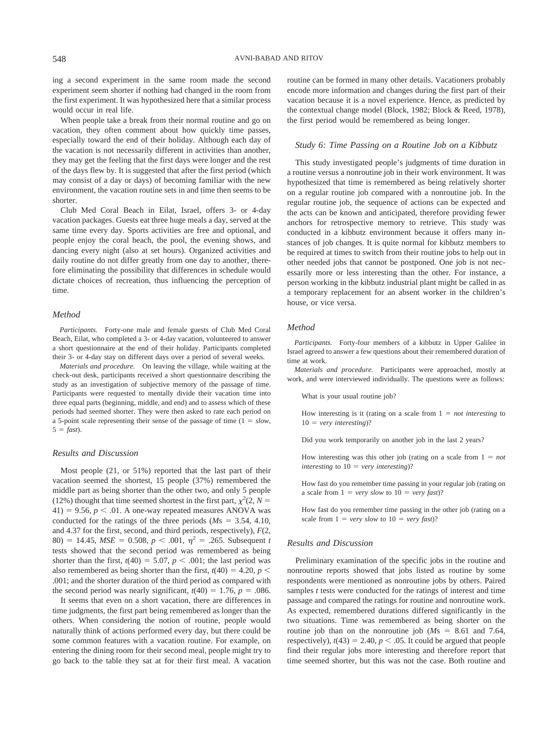ing a second experiment in the same room made the second experiment seem shorter if nothing had changed in the room from the first experiment. It was hypothesized here that a similar process would occur in real life.

When people take a break from their normal routine and go on vacation, they often comment about how quickly time passes, especially toward the end of their holiday. Although each day of the vacation is not necessarily different in activities than another, they may get the feeling that the first days were longer and the rest of the days flew by. It is suggested that after the first period (which may consist of a day or days) of becoming familiar with the new environment, the vacation routine sets in and time then seems to be shorter.

Club Med Coral Beach in Eilat, Israel, offers 3- or 4-day vacation packages. Guests eat three huge meals a day, served at the same time every day. Sports activities are free and optional, and people enjoy the coral beach, the pool, the evening shows, and dancing every night (also at set hours). Organized activities and daily routine do not differ greatly from one day to another, therefore eliminating the possibility that differences in schedule would dictate choices of recreation, thus influencing the perception of time.

#### *Method*

*Participants.* Forty-one male and female guests of Club Med Coral Beach, Eilat, who completed a 3- or 4-day vacation, volunteered to answer a short questionnaire at the end of their holiday. Participants completed their 3- or 4-day stay on different days over a period of several weeks.

*Materials and procedure.* On leaving the village, while waiting at the check-out desk, participants received a short questionnaire describing the study as an investigation of subjective memory of the passage of time. Participants were requested to mentally divide their vacation time into three equal parts (beginning, middle, and end) and to assess which of these periods had seemed shorter. They were then asked to rate each period on a 5-point scale representing their sense of the passage of time  $(1 = slow,$  $5 = fast$ ).

#### *Results and Discussion*

Most people (21, or 51%) reported that the last part of their vacation seemed the shortest, 15 people (37%) remembered the middle part as being shorter than the other two, and only 5 people (12%) thought that time seemed shortest in the first part,  $\chi^2(2, N =$  $41$ ) = 9.56,  $p < 0.01$ . A one-way repeated measures ANOVA was conducted for the ratings of the three periods  $(Ms = 3.54, 4.10,$ and 4.37 for the first, second, and third periods, respectively), *F*(2, 80) = 14.45,  $MSE = 0.508$ ,  $p < .001$ ,  $\eta^2 = .265$ . Subsequent *t* tests showed that the second period was remembered as being shorter than the first,  $t(40) = 5.07$ ,  $p < .001$ ; the last period was also remembered as being shorter than the first,  $t(40) = 4.20$ ,  $p <$ .001; and the shorter duration of the third period as compared with the second period was nearly significant,  $t(40) = 1.76$ ,  $p = .086$ .

It seems that even on a short vacation, there are differences in time judgments, the first part being remembered as longer than the others. When considering the notion of routine, people would naturally think of actions performed every day, but there could be some common features with a vacation routine. For example, on entering the dining room for their second meal, people might try to go back to the table they sat at for their first meal. A vacation routine can be formed in many other details. Vacationers probably encode more information and changes during the first part of their vacation because it is a novel experience. Hence, as predicted by the contextual change model (Block, 1982; Block & Reed, 1978), the first period would be remembered as being longer.

#### *Study 6: Time Passing on a Routine Job on a Kibbutz*

This study investigated people's judgments of time duration in a routine versus a nonroutine job in their work environment. It was hypothesized that time is remembered as being relatively shorter on a regular routine job compared with a nonroutine job. In the regular routine job, the sequence of actions can be expected and the acts can be known and anticipated, therefore providing fewer anchors for retrospective memory to retrieve. This study was conducted in a kibbutz environment because it offers many instances of job changes. It is quite normal for kibbutz members to be required at times to switch from their routine jobs to help out in other needed jobs that cannot be postponed. One job is not necessarily more or less interesting than the other. For instance, a person working in the kibbutz industrial plant might be called in as a temporary replacement for an absent worker in the children's house, or vice versa.

#### *Method*

*Participants.* Forty-four members of a kibbutz in Upper Galilee in Israel agreed to answer a few questions about their remembered duration of time at work.

*Materials and procedure.* Participants were approached, mostly at work, and were interviewed individually. The questions were as follows:

What is your usual routine job?

How interesting is it (rating on a scale from  $1 = not$  *interesting* to  $10 = \text{very interesting}$ ?

Did you work temporarily on another job in the last 2 years?

How interesting was this other job (rating on a scale from  $1 = not$ *interesting* to  $10 = \text{very interesting}$ ?

How fast do you remember time passing in your regular job (rating on a scale from  $1 = very slow$  to  $10 = very fast$ ?

How fast do you remember time passing in the other job (rating on a scale from  $1 = very slow$  to  $10 = very fast$ ?

#### *Results and Discussion*

Preliminary examination of the specific jobs in the routine and nonroutine reports showed that jobs listed as routine by some respondents were mentioned as nonroutine jobs by others. Paired samples *t* tests were conducted for the ratings of interest and time passage and compared the ratings for routine and nonroutine work. As expected, remembered durations differed significantly in the two situations. Time was remembered as being shorter on the routine job than on the nonroutine job  $(Ms = 8.61$  and 7.64, respectively),  $t(43) = 2.40, p < .05$ . It could be argued that people find their regular jobs more interesting and therefore report that time seemed shorter, but this was not the case. Both routine and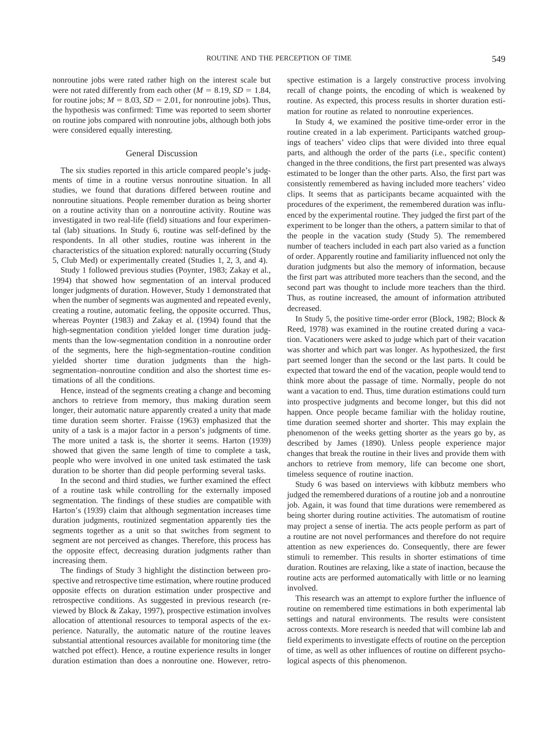nonroutine jobs were rated rather high on the interest scale but were not rated differently from each other  $(M = 8.19, SD = 1.84$ , for routine jobs;  $M = 8.03$ ,  $SD = 2.01$ , for nonroutine jobs). Thus, the hypothesis was confirmed: Time was reported to seem shorter on routine jobs compared with nonroutine jobs, although both jobs were considered equally interesting.

# General Discussion

The six studies reported in this article compared people's judgments of time in a routine versus nonroutine situation. In all studies, we found that durations differed between routine and nonroutine situations. People remember duration as being shorter on a routine activity than on a nonroutine activity. Routine was investigated in two real-life (field) situations and four experimental (lab) situations. In Study 6, routine was self-defined by the respondents. In all other studies, routine was inherent in the characteristics of the situation explored: naturally occurring (Study 5, Club Med) or experimentally created (Studies 1, 2, 3, and 4).

Study 1 followed previous studies (Poynter, 1983; Zakay et al., 1994) that showed how segmentation of an interval produced longer judgments of duration. However, Study 1 demonstrated that when the number of segments was augmented and repeated evenly, creating a routine, automatic feeling, the opposite occurred. Thus, whereas Poynter (1983) and Zakay et al. (1994) found that the high-segmentation condition yielded longer time duration judgments than the low-segmentation condition in a nonroutine order of the segments, here the high-segmentation–routine condition yielded shorter time duration judgments than the highsegmentation–nonroutine condition and also the shortest time estimations of all the conditions.

Hence, instead of the segments creating a change and becoming anchors to retrieve from memory, thus making duration seem longer, their automatic nature apparently created a unity that made time duration seem shorter. Fraisse (1963) emphasized that the unity of a task is a major factor in a person's judgments of time. The more united a task is, the shorter it seems. Harton (1939) showed that given the same length of time to complete a task, people who were involved in one united task estimated the task duration to be shorter than did people performing several tasks.

In the second and third studies, we further examined the effect of a routine task while controlling for the externally imposed segmentation. The findings of these studies are compatible with Harton's (1939) claim that although segmentation increases time duration judgments, routinized segmentation apparently ties the segments together as a unit so that switches from segment to segment are not perceived as changes. Therefore, this process has the opposite effect, decreasing duration judgments rather than increasing them.

The findings of Study 3 highlight the distinction between prospective and retrospective time estimation, where routine produced opposite effects on duration estimation under prospective and retrospective conditions. As suggested in previous research (reviewed by Block & Zakay, 1997), prospective estimation involves allocation of attentional resources to temporal aspects of the experience. Naturally, the automatic nature of the routine leaves substantial attentional resources available for monitoring time (the watched pot effect). Hence, a routine experience results in longer duration estimation than does a nonroutine one. However, retrospective estimation is a largely constructive process involving recall of change points, the encoding of which is weakened by routine. As expected, this process results in shorter duration estimation for routine as related to nonroutine experiences.

In Study 4, we examined the positive time-order error in the routine created in a lab experiment. Participants watched groupings of teachers' video clips that were divided into three equal parts, and although the order of the parts (i.e., specific content) changed in the three conditions, the first part presented was always estimated to be longer than the other parts. Also, the first part was consistently remembered as having included more teachers' video clips. It seems that as participants became acquainted with the procedures of the experiment, the remembered duration was influenced by the experimental routine. They judged the first part of the experiment to be longer than the others, a pattern similar to that of the people in the vacation study (Study 5). The remembered number of teachers included in each part also varied as a function of order. Apparently routine and familiarity influenced not only the duration judgments but also the memory of information, because the first part was attributed more teachers than the second, and the second part was thought to include more teachers than the third. Thus, as routine increased, the amount of information attributed decreased.

In Study 5, the positive time-order error (Block, 1982; Block & Reed, 1978) was examined in the routine created during a vacation. Vacationers were asked to judge which part of their vacation was shorter and which part was longer. As hypothesized, the first part seemed longer than the second or the last parts. It could be expected that toward the end of the vacation, people would tend to think more about the passage of time. Normally, people do not want a vacation to end. Thus, time duration estimations could turn into prospective judgments and become longer, but this did not happen. Once people became familiar with the holiday routine, time duration seemed shorter and shorter. This may explain the phenomenon of the weeks getting shorter as the years go by, as described by James (1890). Unless people experience major changes that break the routine in their lives and provide them with anchors to retrieve from memory, life can become one short, timeless sequence of routine inaction.

Study 6 was based on interviews with kibbutz members who judged the remembered durations of a routine job and a nonroutine job. Again, it was found that time durations were remembered as being shorter during routine activities. The automatism of routine may project a sense of inertia. The acts people perform as part of a routine are not novel performances and therefore do not require attention as new experiences do. Consequently, there are fewer stimuli to remember. This results in shorter estimations of time duration. Routines are relaxing, like a state of inaction, because the routine acts are performed automatically with little or no learning involved.

This research was an attempt to explore further the influence of routine on remembered time estimations in both experimental lab settings and natural environments. The results were consistent across contexts. More research is needed that will combine lab and field experiments to investigate effects of routine on the perception of time, as well as other influences of routine on different psychological aspects of this phenomenon.